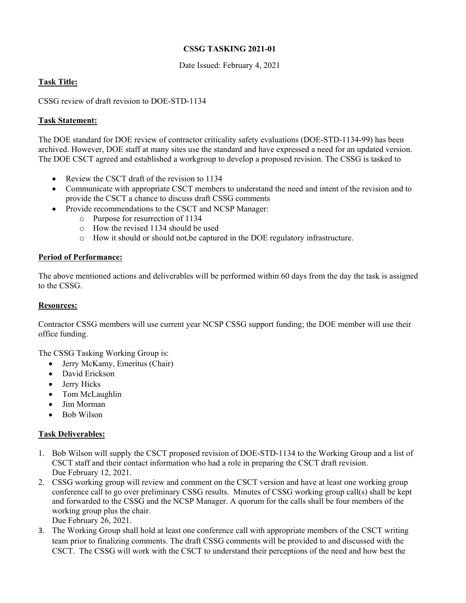## **CSSG TASKING 2021-01**

Date Issued: February 4, 2021

# **Task Title:**

CSSG review of draft revision to DOE-STD-1134

### **Task Statement:**

The DOE standard for DOE review of contractor criticality safety evaluations (DOE-STD-1134-99) has been archived. However, DOE staff at many sites use the standard and have expressed a need for an updated version. The DOE CSCT agreed and established a workgroup to develop a proposed revision. The CSSG is tasked to

- Review the CSCT draft of the revision to 1134
- Communicate with appropriate CSCT members to understand the need and intent of the revision and to provide the CSCT a chance to discuss draft CSSG comments
- Provide recommendations to the CSCT and NCSP Manager:
	- o Purpose for resurrection of 1134
	- o How the revised 1134 should be used
	- o How it should or should not,be captured in the DOE regulatory infrastructure.

### **Period of Performance:**

The above mentioned actions and deliverables will be performed within 60 days from the day the task is assigned to the CSSG.

#### **Resources:**

Contractor CSSG members will use current year NCSP CSSG support funding; the DOE member will use their office funding.

The CSSG Tasking Working Group is:

- Jerry McKamy, Emeritus (Chair)
- David Erickson
- Jerry Hicks
- Tom McLaughlin
- Jim Morman
- Bob Wilson

#### **Task Deliverables:**

- 1. Bob Wilson will supply the CSCT proposed revision of DOE-STD-1134 to the Working Group and a list of CSCT staff and their contact information who had a role in preparing the CSCT draft revision. Due February 12, 2021.
- 2. CSSG working group will review and comment on the CSCT version and have at least one working group conference call to go over preliminary CSSG results. Minutes of CSSG working group call(s) shall be kept and forwarded to the CSSG and the NCSP Manager. A quorum for the calls shall be four members of the working group plus the chair.
	- Due February 26, 2021.
- 3. The Working Group shall hold at least one conference call with appropriate members of the CSCT writing team prior to finalizing comments. The draft CSSG comments will be provided to and discussed with the CSCT. The CSSG will work with the CSCT to understand their perceptions of the need and how best the